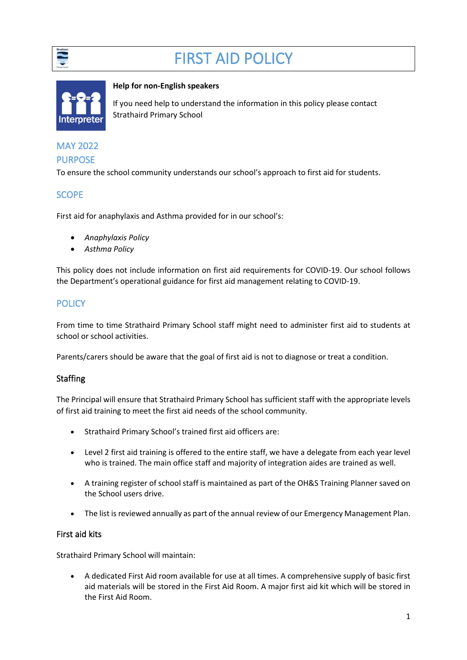

# FIRST AID POLICY



#### **Help for non-English speakers**

If you need help to understand the information in this policy please contact Strathaird Primary School

## MAY 2022 PURPOSE

To ensure the school community understands our school's approach to first aid for students.

## **SCOPE**

First aid for anaphylaxis and Asthma provided for in our school's:

- *Anaphylaxis Policy*
- *Asthma Policy*

This policy does not include information on first aid requirements for COVID-19. Our school follows the Department's operational guidance for first aid management relating to COVID-19.

## **POLICY**

From time to time Strathaird Primary School staff might need to administer first aid to students at school or school activities.

Parents/carers should be aware that the goal of first aid is not to diagnose or treat a condition.

## **Staffing**

The Principal will ensure that Strathaird Primary School has sufficient staff with the appropriate levels of first aid training to meet the first aid needs of the school community.

- Strathaird Primary School's trained first aid officers are:
- Level 2 first aid training is offered to the entire staff, we have a delegate from each year level who is trained. The main office staff and majority of integration aides are trained as well.
- A training register of school staff is maintained as part of the OH&S Training Planner saved on the School users drive.
- The list is reviewed annually as part of the annual review of our Emergency Management Plan.

### First aid kits

Strathaird Primary School will maintain:

• A dedicated First Aid room available for use at all times. A comprehensive supply of basic first aid materials will be stored in the First Aid Room. A major first aid kit which will be stored in the First Aid Room.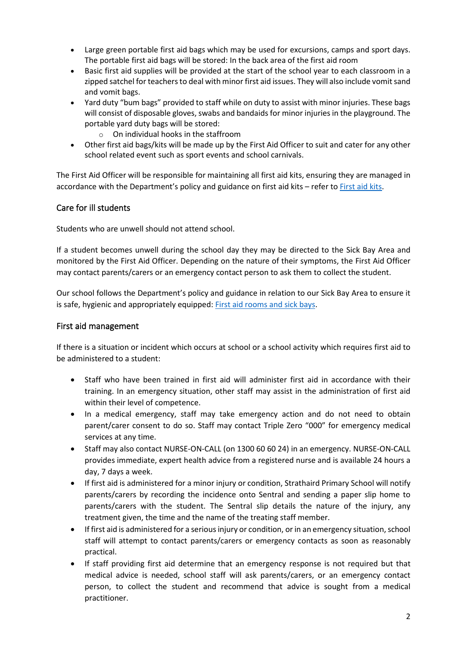- Large green portable first aid bags which may be used for excursions, camps and sport days. The portable first aid bags will be stored: In the back area of the first aid room
- Basic first aid supplies will be provided at the start of the school year to each classroom in a zipped satchel for teachers to deal with minor first aid issues. They will also include vomit sand and vomit bags.
- Yard duty "bum bags" provided to staff while on duty to assist with minor injuries. These bags will consist of disposable gloves, swabs and bandaids for minor injuries in the playground. The portable yard duty bags will be stored:
	- $\circ$  On individual hooks in the staffroom
- Other first aid bags/kits will be made up by the First Aid Officer to suit and cater for any other school related event such as sport events and school carnivals.

The First Aid Officer will be responsible for maintaining all first aid kits, ensuring they are managed in accordance with the Department's policy and guidance on first aid kits – refer to [First aid kits.](https://www2.education.vic.gov.au/pal/first-aid-students-and-staff/guidance/first-aid-kits)

### Care for ill students

Students who are unwell should not attend school.

If a student becomes unwell during the school day they may be directed to the Sick Bay Area and monitored by the First Aid Officer. Depending on the nature of their symptoms, the First Aid Officer may contact parents/carers or an emergency contact person to ask them to collect the student.

Our school follows the Department's policy and guidance in relation to our Sick Bay Area to ensure it is safe, hygienic and appropriately equipped: [First aid rooms and sick bays.](https://www2.education.vic.gov.au/pal/first-aid-students-and-staff/guidance/first-aid-rooms-and-sick-bays)

#### First aid management

If there is a situation or incident which occurs at school or a school activity which requires first aid to be administered to a student:

- Staff who have been trained in first aid will administer first aid in accordance with their training. In an emergency situation, other staff may assist in the administration of first aid within their level of competence.
- In a medical emergency, staff may take emergency action and do not need to obtain parent/carer consent to do so. Staff may contact Triple Zero "000" for emergency medical services at any time.
- Staff may also contact NURSE-ON-CALL (on 1300 60 60 24) in an emergency. NURSE-ON-CALL provides immediate, expert health advice from a registered nurse and is available 24 hours a day, 7 days a week.
- If first aid is administered for a minor injury or condition, Strathaird Primary School will notify parents/carers by recording the incidence onto Sentral and sending a paper slip home to parents/carers with the student. The Sentral slip details the nature of the injury, any treatment given, the time and the name of the treating staff member.
- If first aid is administered for a serious injury or condition, or in an emergency situation, school staff will attempt to contact parents/carers or emergency contacts as soon as reasonably practical.
- If staff providing first aid determine that an emergency response is not required but that medical advice is needed, school staff will ask parents/carers, or an emergency contact person, to collect the student and recommend that advice is sought from a medical practitioner.